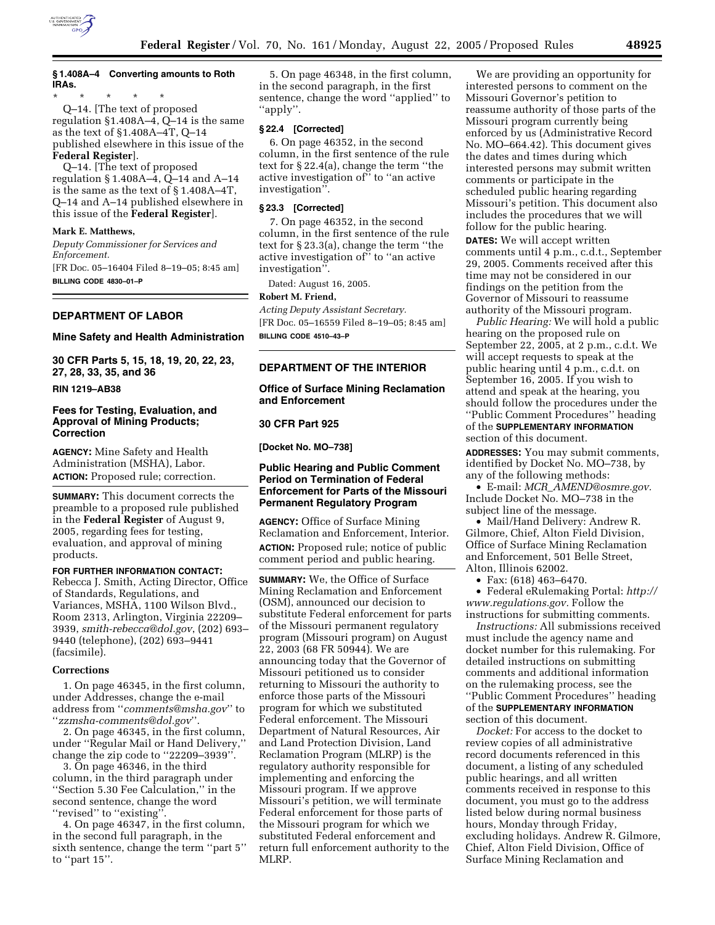

## **§ 1.408A–4 Converting amounts to Roth IRAs.**

\* \* \* \* \* Q–14. [The text of proposed regulation §1.408A–4, Q–14 is the same as the text of §1.408A–4T, Q–14 published elsewhere in this issue of the **Federal Register**].

Q–14. [The text of proposed regulation § 1.408A–4, Q–14 and A–14 is the same as the text of § 1.408A–4T, Q–14 and A–14 published elsewhere in this issue of the **Federal Register**].

### **Mark E. Matthews,**

*Deputy Commissioner for Services and Enforcement.* [FR Doc. 05–16404 Filed 8–19–05; 8:45 am]

**BILLING CODE 4830–01–P**

## **DEPARTMENT OF LABOR**

#### **Mine Safety and Health Administration**

**30 CFR Parts 5, 15, 18, 19, 20, 22, 23, 27, 28, 33, 35, and 36** 

**RIN 1219–AB38** 

## **Fees for Testing, Evaluation, and Approval of Mining Products; Correction**

**AGENCY:** Mine Safety and Health Administration (MSHA), Labor. **ACTION:** Proposed rule; correction.

**SUMMARY:** This document corrects the preamble to a proposed rule published in the **Federal Register** of August 9, 2005, regarding fees for testing, evaluation, and approval of mining products.

#### **FOR FURTHER INFORMATION CONTACT:**

Rebecca J. Smith, Acting Director, Office of Standards, Regulations, and Variances, MSHA, 1100 Wilson Blvd., Room 2313, Arlington, Virginia 22209– 3939, *smith-rebecca@dol.gov*, (202) 693– 9440 (telephone), (202) 693–9441 (facsimile).

#### **Corrections**

1. On page 46345, in the first column, under Addresses, change the e-mail address from ''*comments@msha.gov*'' to ''*zzmsha-comments@dol.gov*''.

2. On page 46345, in the first column, under ''Regular Mail or Hand Delivery,'' change the zip code to ''22209–3939''.

3. On page 46346, in the third column, in the third paragraph under ''Section 5.30 Fee Calculation,'' in the second sentence, change the word ''revised'' to ''existing''.

4. On page 46347, in the first column, in the second full paragraph, in the sixth sentence, change the term ''part 5'' to ''part 15''.

5. On page 46348, in the first column, in the second paragraph, in the first sentence, change the word ''applied'' to ''apply''.

### **§ 22.4 [Corrected]**

6. On page 46352, in the second column, in the first sentence of the rule text for § 22.4(a), change the term ''the active investigation of'' to ''an active investigation''.

#### **§ 23.3 [Corrected]**

7. On page 46352, in the second column, in the first sentence of the rule text for § 23.3(a), change the term ''the active investigation of'' to ''an active investigation''.

Dated: August 16, 2005.

#### **Robert M. Friend,**

*Acting Deputy Assistant Secretary.* [FR Doc. 05–16559 Filed 8–19–05; 8:45 am] **BILLING CODE 4510–43–P**

### **DEPARTMENT OF THE INTERIOR**

## **Office of Surface Mining Reclamation and Enforcement**

#### **30 CFR Part 925**

**[Docket No. MO–738]** 

## **Public Hearing and Public Comment Period on Termination of Federal Enforcement for Parts of the Missouri Permanent Regulatory Program**

**AGENCY:** Office of Surface Mining Reclamation and Enforcement, Interior. **ACTION:** Proposed rule; notice of public comment period and public hearing.

**SUMMARY:** We, the Office of Surface Mining Reclamation and Enforcement (OSM), announced our decision to substitute Federal enforcement for parts of the Missouri permanent regulatory program (Missouri program) on August 22, 2003 (68 FR 50944). We are announcing today that the Governor of Missouri petitioned us to consider returning to Missouri the authority to enforce those parts of the Missouri program for which we substituted Federal enforcement. The Missouri Department of Natural Resources, Air and Land Protection Division, Land Reclamation Program (MLRP) is the regulatory authority responsible for implementing and enforcing the Missouri program. If we approve Missouri's petition, we will terminate Federal enforcement for those parts of the Missouri program for which we substituted Federal enforcement and return full enforcement authority to the MLRP.

We are providing an opportunity for interested persons to comment on the Missouri Governor's petition to reassume authority of those parts of the Missouri program currently being enforced by us (Administrative Record No. MO–664.42). This document gives the dates and times during which interested persons may submit written comments or participate in the scheduled public hearing regarding Missouri's petition. This document also includes the procedures that we will follow for the public hearing. **DATES:** We will accept written comments until 4 p.m., c.d.t., September 29, 2005. Comments received after this time may not be considered in our findings on the petition from the Governor of Missouri to reassume authority of the Missouri program.

*Public Hearing:* We will hold a public hearing on the proposed rule on September 22, 2005, at 2 p.m., c.d.t. We will accept requests to speak at the public hearing until 4 p.m., c.d.t. on September 16, 2005. If you wish to attend and speak at the hearing, you should follow the procedures under the ''Public Comment Procedures'' heading of the **SUPPLEMENTARY INFORMATION** section of this document.

**ADDRESSES:** You may submit comments, identified by Docket No. MO–738, by any of the following methods:

• E-mail: *MCR*\_*AMEND@osmre.gov.* Include Docket No. MO–738 in the subject line of the message.

• Mail/Hand Delivery: Andrew R. Gilmore, Chief, Alton Field Division, Office of Surface Mining Reclamation and Enforcement, 501 Belle Street, Alton, Illinois 62002.

• Fax: (618) 463–6470.

• Federal eRulemaking Portal: *http:// www.regulations.gov.* Follow the instructions for submitting comments.

*Instructions:* All submissions received must include the agency name and docket number for this rulemaking. For detailed instructions on submitting comments and additional information on the rulemaking process, see the ''Public Comment Procedures'' heading of the **SUPPLEMENTARY INFORMATION** section of this document.

*Docket:* For access to the docket to review copies of all administrative record documents referenced in this document, a listing of any scheduled public hearings, and all written comments received in response to this document, you must go to the address listed below during normal business hours, Monday through Friday, excluding holidays. Andrew R. Gilmore, Chief, Alton Field Division, Office of Surface Mining Reclamation and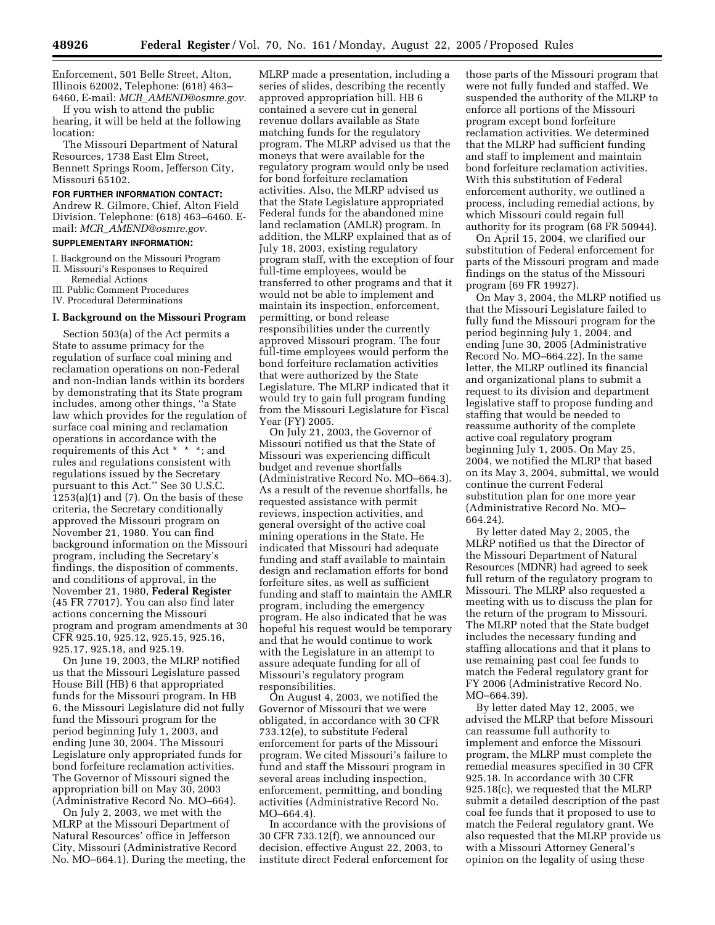Enforcement, 501 Belle Street, Alton, Illinois 62002, Telephone: (618) 463– 6460, E-mail: *MCR*\_*AMEND@osmre.gov.*

If you wish to attend the public hearing, it will be held at the following location:

The Missouri Department of Natural Resources, 1738 East Elm Street, Bennett Springs Room, Jefferson City, Missouri 65102.

### **FOR FURTHER INFORMATION CONTACT:**

Andrew R. Gilmore, Chief, Alton Field Division. Telephone: (618) 463–6460. Email: *MCR*\_*AMEND@osmre.gov.*

## **SUPPLEMENTARY INFORMATION:**

I. Background on the Missouri Program

II. Missouri's Responses to Required

Remedial Actions

III. Public Comment Procedures

IV. Procedural Determinations

### **I. Background on the Missouri Program**

Section 503(a) of the Act permits a State to assume primacy for the regulation of surface coal mining and reclamation operations on non-Federal and non-Indian lands within its borders by demonstrating that its State program includes, among other things, ''a State law which provides for the regulation of surface coal mining and reclamation operations in accordance with the requirements of this Act \* \* \*; and rules and regulations consistent with regulations issued by the Secretary pursuant to this Act.'' See 30 U.S.C.  $1253(a)(1)$  and  $(7)$ . On the basis of these criteria, the Secretary conditionally approved the Missouri program on November 21, 1980. You can find background information on the Missouri program, including the Secretary's findings, the disposition of comments, and conditions of approval, in the November 21, 1980, **Federal Register** (45 FR 77017). You can also find later actions concerning the Missouri program and program amendments at 30 CFR 925.10, 925.12, 925.15, 925.16, 925.17, 925.18, and 925.19.

On June 19, 2003, the MLRP notified us that the Missouri Legislature passed House Bill (HB) 6 that appropriated funds for the Missouri program. In HB 6, the Missouri Legislature did not fully fund the Missouri program for the period beginning July 1, 2003, and ending June 30, 2004. The Missouri Legislature only appropriated funds for bond forfeiture reclamation activities. The Governor of Missouri signed the appropriation bill on May 30, 2003 (Administrative Record No. MO–664).

On July 2, 2003, we met with the MLRP at the Missouri Department of Natural Resources' office in Jefferson City, Missouri (Administrative Record No. MO–664.1). During the meeting, the

MLRP made a presentation, including a series of slides, describing the recently approved appropriation bill. HB 6 contained a severe cut in general revenue dollars available as State matching funds for the regulatory program. The MLRP advised us that the moneys that were available for the regulatory program would only be used for bond forfeiture reclamation activities. Also, the MLRP advised us that the State Legislature appropriated Federal funds for the abandoned mine land reclamation (AMLR) program. In addition, the MLRP explained that as of July 18, 2003, existing regulatory program staff, with the exception of four full-time employees, would be transferred to other programs and that it would not be able to implement and maintain its inspection, enforcement, permitting, or bond release responsibilities under the currently approved Missouri program. The four full-time employees would perform the bond forfeiture reclamation activities that were authorized by the State Legislature. The MLRP indicated that it would try to gain full program funding from the Missouri Legislature for Fiscal Year (FY) 2005.

On July 21, 2003, the Governor of Missouri notified us that the State of Missouri was experiencing difficult budget and revenue shortfalls (Administrative Record No. MO–664.3). As a result of the revenue shortfalls, he requested assistance with permit reviews, inspection activities, and general oversight of the active coal mining operations in the State. He indicated that Missouri had adequate funding and staff available to maintain design and reclamation efforts for bond forfeiture sites, as well as sufficient funding and staff to maintain the AMLR program, including the emergency program. He also indicated that he was hopeful his request would be temporary and that he would continue to work with the Legislature in an attempt to assure adequate funding for all of Missouri's regulatory program responsibilities.

On August 4, 2003, we notified the Governor of Missouri that we were obligated, in accordance with 30 CFR 733.12(e), to substitute Federal enforcement for parts of the Missouri program. We cited Missouri's failure to fund and staff the Missouri program in several areas including inspection, enforcement, permitting, and bonding activities (Administrative Record No. MO–664.4).

In accordance with the provisions of 30 CFR 733.12(f), we announced our decision, effective August 22, 2003, to institute direct Federal enforcement for those parts of the Missouri program that were not fully funded and staffed. We suspended the authority of the MLRP to enforce all portions of the Missouri program except bond forfeiture reclamation activities. We determined that the MLRP had sufficient funding and staff to implement and maintain bond forfeiture reclamation activities. With this substitution of Federal enforcement authority, we outlined a process, including remedial actions, by which Missouri could regain full authority for its program (68 FR 50944).

On April 15, 2004, we clarified our substitution of Federal enforcement for parts of the Missouri program and made findings on the status of the Missouri program (69 FR 19927).

On May 3, 2004, the MLRP notified us that the Missouri Legislature failed to fully fund the Missouri program for the period beginning July 1, 2004, and ending June 30, 2005 (Administrative Record No. MO–664.22). In the same letter, the MLRP outlined its financial and organizational plans to submit a request to its division and department legislative staff to propose funding and staffing that would be needed to reassume authority of the complete active coal regulatory program beginning July 1, 2005. On May 25, 2004, we notified the MLRP that based on its May 3, 2004, submittal, we would continue the current Federal substitution plan for one more year (Administrative Record No. MO– 664.24).

By letter dated May 2, 2005, the MLRP notified us that the Director of the Missouri Department of Natural Resources (MDNR) had agreed to seek full return of the regulatory program to Missouri. The MLRP also requested a meeting with us to discuss the plan for the return of the program to Missouri. The MLRP noted that the State budget includes the necessary funding and staffing allocations and that it plans to use remaining past coal fee funds to match the Federal regulatory grant for FY 2006 (Administrative Record No. MO–664.39).

By letter dated May 12, 2005, we advised the MLRP that before Missouri can reassume full authority to implement and enforce the Missouri program, the MLRP must complete the remedial measures specified in 30 CFR 925.18. In accordance with 30 CFR 925.18(c), we requested that the MLRP submit a detailed description of the past coal fee funds that it proposed to use to match the Federal regulatory grant. We also requested that the MLRP provide us with a Missouri Attorney General's opinion on the legality of using these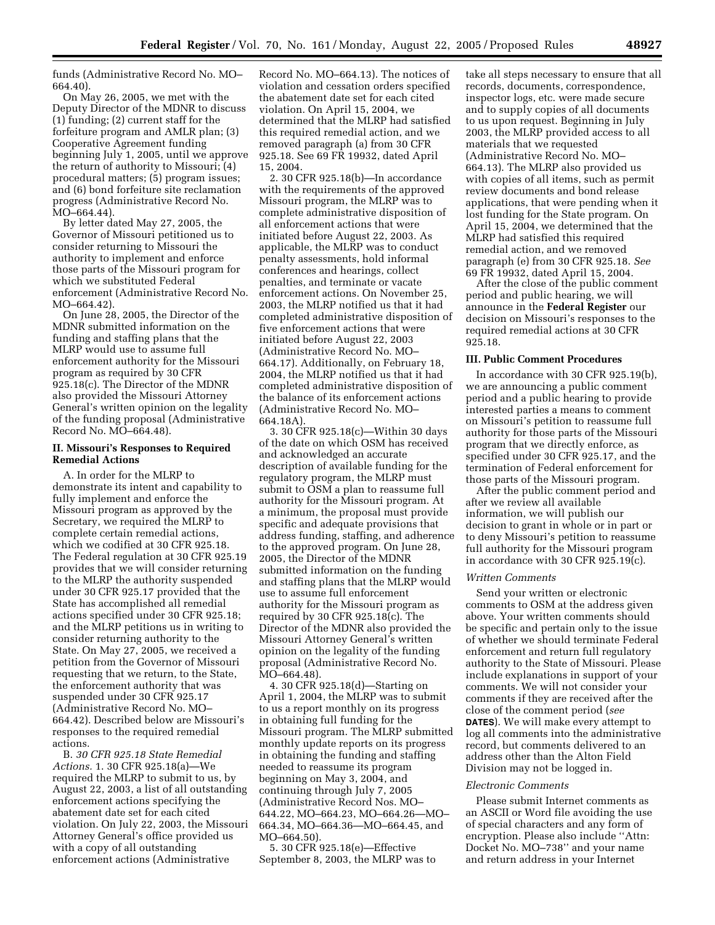funds (Administrative Record No. MO– 664.40).

On May 26, 2005, we met with the Deputy Director of the MDNR to discuss (1) funding; (2) current staff for the forfeiture program and AMLR plan; (3) Cooperative Agreement funding beginning July 1, 2005, until we approve the return of authority to Missouri; (4) procedural matters; (5) program issues; and (6) bond forfeiture site reclamation progress (Administrative Record No. MO–664.44).

By letter dated May 27, 2005, the Governor of Missouri petitioned us to consider returning to Missouri the authority to implement and enforce those parts of the Missouri program for which we substituted Federal enforcement (Administrative Record No. MO–664.42).

On June 28, 2005, the Director of the MDNR submitted information on the funding and staffing plans that the MLRP would use to assume full enforcement authority for the Missouri program as required by 30 CFR 925.18(c). The Director of the MDNR also provided the Missouri Attorney General's written opinion on the legality of the funding proposal (Administrative Record No. MO–664.48).

## **II. Missouri's Responses to Required Remedial Actions**

A. In order for the MLRP to demonstrate its intent and capability to fully implement and enforce the Missouri program as approved by the Secretary, we required the MLRP to complete certain remedial actions, which we codified at 30 CFR 925.18. The Federal regulation at 30 CFR 925.19 provides that we will consider returning to the MLRP the authority suspended under 30 CFR 925.17 provided that the State has accomplished all remedial actions specified under 30 CFR 925.18; and the MLRP petitions us in writing to consider returning authority to the State. On May 27, 2005, we received a petition from the Governor of Missouri requesting that we return, to the State, the enforcement authority that was suspended under 30 CFR 925.17 (Administrative Record No. MO– 664.42). Described below are Missouri's responses to the required remedial actions.

B. *30 CFR 925.18 State Remedial Actions.* 1. 30 CFR 925.18(a)—We required the MLRP to submit to us, by August 22, 2003, a list of all outstanding enforcement actions specifying the abatement date set for each cited violation. On July 22, 2003, the Missouri Attorney General's office provided us with a copy of all outstanding enforcement actions (Administrative

Record No. MO–664.13). The notices of violation and cessation orders specified the abatement date set for each cited violation. On April 15, 2004, we determined that the MLRP had satisfied this required remedial action, and we removed paragraph (a) from 30 CFR 925.18. See 69 FR 19932, dated April 15, 2004.

2. 30 CFR 925.18(b)—In accordance with the requirements of the approved Missouri program, the MLRP was to complete administrative disposition of all enforcement actions that were initiated before August 22, 2003. As applicable, the MLRP was to conduct penalty assessments, hold informal conferences and hearings, collect penalties, and terminate or vacate enforcement actions. On November 25, 2003, the MLRP notified us that it had completed administrative disposition of five enforcement actions that were initiated before August 22, 2003 (Administrative Record No. MO– 664.17). Additionally, on February 18, 2004, the MLRP notified us that it had completed administrative disposition of the balance of its enforcement actions (Administrative Record No. MO– 664.18A).

3. 30 CFR 925.18(c)—Within 30 days of the date on which OSM has received and acknowledged an accurate description of available funding for the regulatory program, the MLRP must submit to OSM a plan to reassume full authority for the Missouri program. At a minimum, the proposal must provide specific and adequate provisions that address funding, staffing, and adherence to the approved program. On June 28, 2005, the Director of the MDNR submitted information on the funding and staffing plans that the MLRP would use to assume full enforcement authority for the Missouri program as required by 30 CFR 925.18(c). The Director of the MDNR also provided the Missouri Attorney General's written opinion on the legality of the funding proposal (Administrative Record No. MO–664.48).

4. 30 CFR 925.18(d)—Starting on April 1, 2004, the MLRP was to submit to us a report monthly on its progress in obtaining full funding for the Missouri program. The MLRP submitted monthly update reports on its progress in obtaining the funding and staffing needed to reassume its program beginning on May 3, 2004, and continuing through July 7, 2005 (Administrative Record Nos. MO– 644.22, MO–664.23, MO–664.26—MO– 664.34, MO–664.36—MO–664.45, and MO–664.50).

5. 30 CFR 925.18(e)—Effective September 8, 2003, the MLRP was to take all steps necessary to ensure that all records, documents, correspondence, inspector logs, etc. were made secure and to supply copies of all documents to us upon request. Beginning in July 2003, the MLRP provided access to all materials that we requested (Administrative Record No. MO– 664.13). The MLRP also provided us with copies of all items, such as permit review documents and bond release applications, that were pending when it lost funding for the State program. On April 15, 2004, we determined that the MLRP had satisfied this required remedial action, and we removed paragraph (e) from 30 CFR 925.18. *See* 69 FR 19932, dated April 15, 2004.

After the close of the public comment period and public hearing, we will announce in the **Federal Register** our decision on Missouri's responses to the required remedial actions at 30 CFR 925.18.

## **III. Public Comment Procedures**

In accordance with 30 CFR 925.19(b), we are announcing a public comment period and a public hearing to provide interested parties a means to comment on Missouri's petition to reassume full authority for those parts of the Missouri program that we directly enforce, as specified under 30 CFR 925.17, and the termination of Federal enforcement for those parts of the Missouri program.

After the public comment period and after we review all available information, we will publish our decision to grant in whole or in part or to deny Missouri's petition to reassume full authority for the Missouri program in accordance with 30 CFR 925.19(c).

#### *Written Comments*

Send your written or electronic comments to OSM at the address given above. Your written comments should be specific and pertain only to the issue of whether we should terminate Federal enforcement and return full regulatory authority to the State of Missouri. Please include explanations in support of your comments. We will not consider your comments if they are received after the close of the comment period (*see* **DATES**). We will make every attempt to log all comments into the administrative record, but comments delivered to an address other than the Alton Field Division may not be logged in.

#### *Electronic Comments*

Please submit Internet comments as an ASCII or Word file avoiding the use of special characters and any form of encryption. Please also include ''Attn: Docket No. MO–738'' and your name and return address in your Internet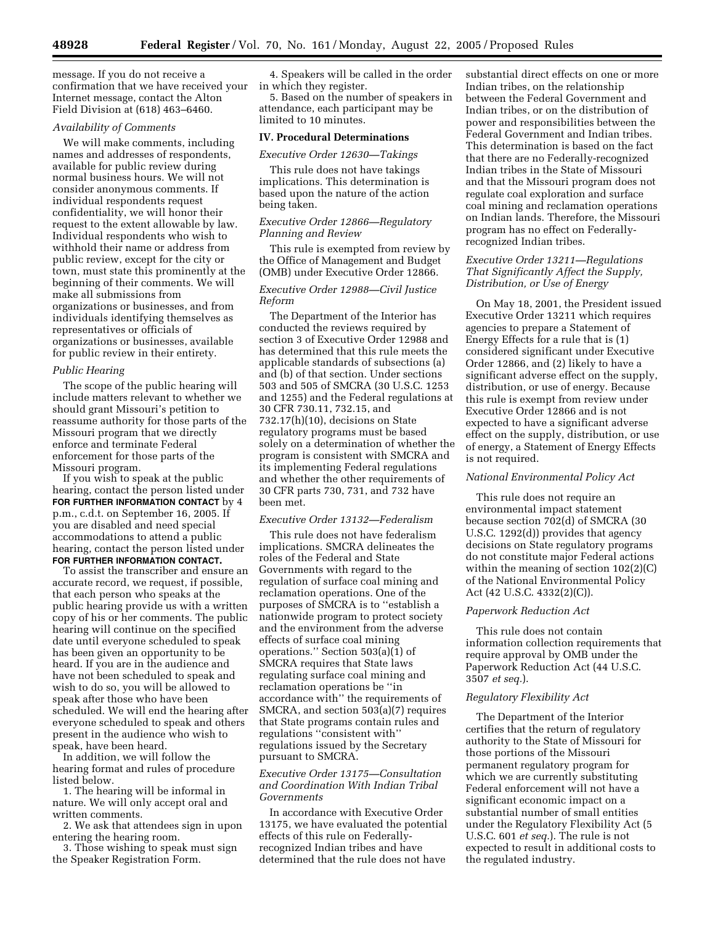message. If you do not receive a confirmation that we have received your Internet message, contact the Alton Field Division at (618) 463–6460.

### *Availability of Comments*

We will make comments, including names and addresses of respondents, available for public review during normal business hours. We will not consider anonymous comments. If individual respondents request confidentiality, we will honor their request to the extent allowable by law. Individual respondents who wish to withhold their name or address from public review, except for the city or town, must state this prominently at the beginning of their comments. We will make all submissions from organizations or businesses, and from individuals identifying themselves as representatives or officials of organizations or businesses, available for public review in their entirety.

### *Public Hearing*

The scope of the public hearing will include matters relevant to whether we should grant Missouri's petition to reassume authority for those parts of the Missouri program that we directly enforce and terminate Federal enforcement for those parts of the Missouri program.

If you wish to speak at the public hearing, contact the person listed under **FOR FURTHER INFORMATION CONTACT** by 4 p.m., c.d.t. on September 16, 2005. If you are disabled and need special accommodations to attend a public hearing, contact the person listed under **FOR FURTHER INFORMATION CONTACT.**

To assist the transcriber and ensure an accurate record, we request, if possible, that each person who speaks at the public hearing provide us with a written copy of his or her comments. The public hearing will continue on the specified date until everyone scheduled to speak has been given an opportunity to be heard. If you are in the audience and have not been scheduled to speak and wish to do so, you will be allowed to speak after those who have been scheduled. We will end the hearing after everyone scheduled to speak and others present in the audience who wish to speak, have been heard.

In addition, we will follow the hearing format and rules of procedure listed below.

1. The hearing will be informal in nature. We will only accept oral and written comments.

2. We ask that attendees sign in upon entering the hearing room.

3. Those wishing to speak must sign the Speaker Registration Form.

4. Speakers will be called in the order in which they register.

5. Based on the number of speakers in attendance, each participant may be limited to 10 minutes.

#### **IV. Procedural Determinations**

### *Executive Order 12630—Takings*

This rule does not have takings implications. This determination is based upon the nature of the action being taken.

# *Executive Order 12866—Regulatory Planning and Review*

This rule is exempted from review by the Office of Management and Budget (OMB) under Executive Order 12866.

## *Executive Order 12988—Civil Justice Reform*

The Department of the Interior has conducted the reviews required by section 3 of Executive Order 12988 and has determined that this rule meets the applicable standards of subsections (a) and (b) of that section. Under sections 503 and 505 of SMCRA (30 U.S.C. 1253 and 1255) and the Federal regulations at 30 CFR 730.11, 732.15, and 732.17(h)(10), decisions on State regulatory programs must be based solely on a determination of whether the program is consistent with SMCRA and its implementing Federal regulations and whether the other requirements of 30 CFR parts 730, 731, and 732 have been met.

### *Executive Order 13132—Federalism*

This rule does not have federalism implications. SMCRA delineates the roles of the Federal and State Governments with regard to the regulation of surface coal mining and reclamation operations. One of the purposes of SMCRA is to ''establish a nationwide program to protect society and the environment from the adverse effects of surface coal mining operations." Section  $503(a)(1)$  of SMCRA requires that State laws regulating surface coal mining and reclamation operations be ''in accordance with'' the requirements of SMCRA, and section 503(a)(7) requires that State programs contain rules and regulations ''consistent with'' regulations issued by the Secretary pursuant to SMCRA.

## *Executive Order 13175—Consultation and Coordination With Indian Tribal Governments*

In accordance with Executive Order 13175, we have evaluated the potential effects of this rule on Federallyrecognized Indian tribes and have determined that the rule does not have

substantial direct effects on one or more Indian tribes, on the relationship between the Federal Government and Indian tribes, or on the distribution of power and responsibilities between the Federal Government and Indian tribes. This determination is based on the fact that there are no Federally-recognized Indian tribes in the State of Missouri and that the Missouri program does not regulate coal exploration and surface coal mining and reclamation operations on Indian lands. Therefore, the Missouri program has no effect on Federallyrecognized Indian tribes.

## *Executive Order 13211—Regulations That Significantly Affect the Supply, Distribution, or Use of Energy*

On May 18, 2001, the President issued Executive Order 13211 which requires agencies to prepare a Statement of Energy Effects for a rule that is (1) considered significant under Executive Order 12866, and (2) likely to have a significant adverse effect on the supply, distribution, or use of energy. Because this rule is exempt from review under Executive Order 12866 and is not expected to have a significant adverse effect on the supply, distribution, or use of energy, a Statement of Energy Effects is not required.

## *National Environmental Policy Act*

This rule does not require an environmental impact statement because section 702(d) of SMCRA (30 U.S.C. 1292(d)) provides that agency decisions on State regulatory programs do not constitute major Federal actions within the meaning of section 102(2)(C) of the National Environmental Policy Act (42 U.S.C. 4332(2)(C)).

#### *Paperwork Reduction Act*

This rule does not contain information collection requirements that require approval by OMB under the Paperwork Reduction Act (44 U.S.C. 3507 *et seq.*).

### *Regulatory Flexibility Act*

The Department of the Interior certifies that the return of regulatory authority to the State of Missouri for those portions of the Missouri permanent regulatory program for which we are currently substituting Federal enforcement will not have a significant economic impact on a substantial number of small entities under the Regulatory Flexibility Act (5 U.S.C. 601 *et seq.*). The rule is not expected to result in additional costs to the regulated industry.